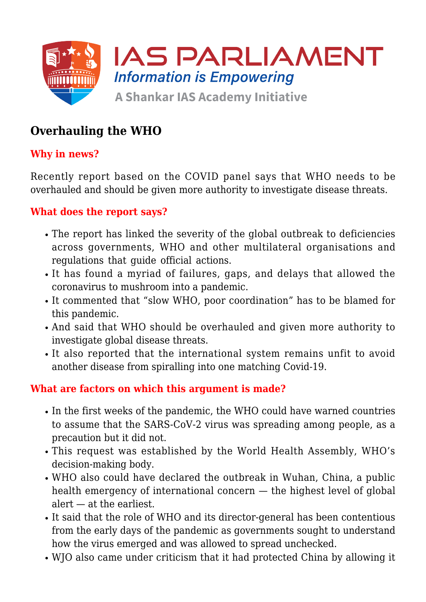

# **Overhauling the WHO**

# **Why in news?**

Recently report based on the COVID panel says that WHO needs to be overhauled and should be given more authority to investigate disease threats.

### **What does the report says?**

- The report has linked the severity of the global outbreak to deficiencies across governments, WHO and other multilateral organisations and regulations that guide official actions.
- It has found a myriad of failures, gaps, and delays that allowed the coronavirus to mushroom into a pandemic.
- It commented that "slow WHO, poor coordination" has to be blamed for this pandemic.
- And said that WHO should be overhauled and given more authority to investigate global disease threats.
- It also reported that the international system remains unfit to avoid another disease from spiralling into one matching Covid-19.

#### **What are factors on which this argument is made?**

- In the first weeks of the pandemic, the WHO could have warned countries to assume that the SARS-CoV-2 virus was spreading among people, as a precaution but it did not.
- This request was established by the World Health Assembly, WHO's decision-making body.
- WHO also could have declared the outbreak in Wuhan, China, a public health emergency of international concern — the highest level of global alert — at the earliest.
- It said that the role of WHO and its director-general has been contentious from the early days of the pandemic as governments sought to understand how the virus emerged and was allowed to spread unchecked.
- WJO also came under criticism that it had protected China by allowing it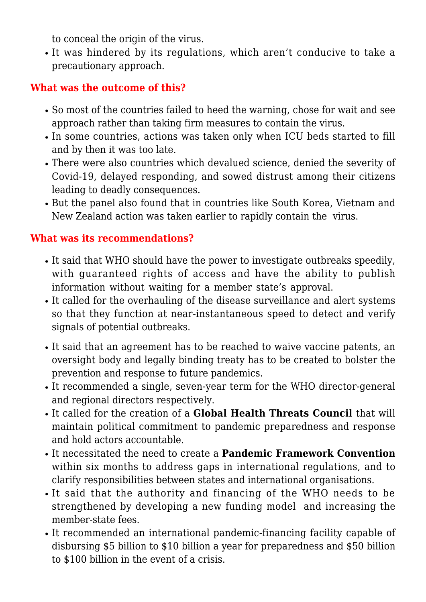to conceal the origin of the virus.

It was hindered by its regulations, which aren't conducive to take a precautionary approach.

## **What was the outcome of this?**

- So most of the countries failed to heed the warning, chose for wait and see approach rather than taking firm measures to contain the virus.
- In some countries, actions was taken only when ICU beds started to fill and by then it was too late.
- There were also countries which devalued science, denied the severity of Covid-19, delayed responding, and sowed distrust among their citizens leading to deadly consequences.
- But the panel also found that in countries like South Korea, Vietnam and New Zealand action was taken earlier to rapidly contain the virus.

#### **What was its recommendations?**

- It said that WHO should have the power to investigate outbreaks speedily, with guaranteed rights of access and have the ability to publish information without waiting for a member state's approval.
- It called for the overhauling of the disease surveillance and alert systems so that they function at near-instantaneous speed to detect and verify signals of potential outbreaks.
- It said that an agreement has to be reached to waive vaccine patents, an oversight body and legally binding treaty has to be created to bolster the prevention and response to future pandemics.
- It recommended a single, seven-year term for the WHO director-general and regional directors respectively.
- It called for the creation of a **Global Health Threats Council** that will maintain political commitment to pandemic preparedness and response and hold actors accountable.
- It necessitated the need to create a **Pandemic Framework Convention** within six months to address gaps in international regulations, and to clarify responsibilities between states and international organisations.
- It said that the authority and financing of the WHO needs to be strengthened by developing a new funding model and increasing the member-state fees.
- It recommended an international pandemic-financing facility capable of disbursing \$5 billion to \$10 billion a year for preparedness and \$50 billion to \$100 billion in the event of a crisis.